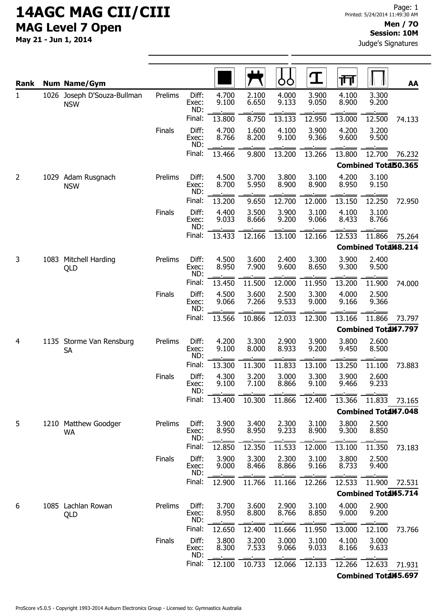| Rank           | <b>Num Name/Gym</b>                       |               |                       |                |                | OO             | $\mathbf T$    | गा             |                             | AA     |
|----------------|-------------------------------------------|---------------|-----------------------|----------------|----------------|----------------|----------------|----------------|-----------------------------|--------|
| 1              | 1026 Joseph D'Souza-Bullman<br><b>NSW</b> | Prelims       | Diff:<br>Exec:<br>ND: | 4.700<br>9.100 | 2.100<br>6.650 | 4.000<br>9.133 | 3.900<br>9.050 | 4.100<br>8.900 | 3.300<br>9.200              |        |
|                |                                           |               | Final:                | 13.800         | 8.750          | 13.133         | 12.950         | 13.000         | 12.500                      | 74.133 |
|                |                                           | Finals        | Diff:<br>Exec:<br>ND: | 4.700<br>8.766 | 1.600<br>8.200 | 4.100<br>9.100 | 3.900<br>9.366 | 4.200<br>9.600 | 3.200<br>9.500              |        |
|                |                                           |               | Final:                | 13.466         | 9.800          | 13.200         | 13.266         | 13.800         | 12.700                      | 76.232 |
|                |                                           |               |                       |                |                |                |                |                | Combined Total50.365        |        |
| $\overline{2}$ | 1029 Adam Rusgnach<br><b>NSW</b>          | Prelims       | Diff:<br>Exec:<br>ND: | 4.500<br>8.700 | 3.700<br>5.950 | 3.800<br>8.900 | 3.100<br>8.900 | 4.200<br>8.950 | 3.100<br>9.150              |        |
|                |                                           |               | Final:                | 13.200         | 9.650          | 12.700         | 12.000         | 13.150         | 12.250                      | 72.950 |
|                |                                           | Finals        | Diff:<br>Exec:<br>ND: | 4.400<br>9.033 | 3.500<br>8.666 | 3.900<br>9.200 | 3.100<br>9.066 | 4.100<br>8.433 | 3.100<br>8.766              |        |
|                |                                           |               | Final:                | 13.433         | 12.166         | 13.100         | 12.166         | 12.533         | 11.866                      | 75.264 |
|                |                                           |               |                       |                |                |                |                |                | <b>Combined Total48.214</b> |        |
| 3              | 1083 Mitchell Harding<br>QLD              | Prelims       | Diff:<br>Exec:<br>ND: | 4.500<br>8.950 | 3.600<br>7.900 | 2.400<br>9.600 | 3.300<br>8.650 | 3.900<br>9.300 | 2.400<br>9.500              |        |
|                |                                           |               | Final:                | 13.450         | 11.500         | 12.000         | 11.950         | 13.200         | 11.900                      | 74.000 |
|                |                                           | Finals        | Diff:<br>Exec:<br>ND: | 4.500<br>9.066 | 3.600<br>7.266 | 2.500<br>9.533 | 3.300<br>9.000 | 4.000<br>9.166 | 2.500<br>9.366              |        |
|                |                                           |               | Final:                | 13.566         | 10.866         | 12.033         | 12.300         | 13.166         | 11.866                      | 73.797 |
|                |                                           |               |                       |                |                |                |                |                | <b>Combined Total47.797</b> |        |
| 4              | 1135 Storme Van Rensburg<br><b>SA</b>     | Prelims       | Diff:<br>Exec:<br>ND: | 4.200<br>9.100 | 3.300<br>8.000 | 2.900<br>8.933 | 3.900<br>9.200 | 3.800<br>9.450 | 2.600<br>8.500              |        |
|                |                                           |               | Final:                | 13.300         | 11.300         | 11.833         | 13.100         | 13.250         | 11.100                      | 73.883 |
|                |                                           | <b>Finals</b> | Diff:<br>Exec:<br>ND: | 4.300<br>9.100 | 3.200<br>7.100 | 3.000<br>8.866 | 3.300<br>9.100 | 3.900<br>9.466 | 2.600<br>9.233              |        |
|                |                                           |               | Final:                | 13.400         | 10.300         | 11.866         | 12.400         | 13.366         | 11.833                      | 73.165 |
|                |                                           |               |                       |                |                |                |                |                | <b>Combined Total47.048</b> |        |
| 5              | 1210 Matthew Goodger<br><b>WA</b>         | Prelims       | Diff:<br>Exec:<br>ND: | 3.900<br>8.950 | 3.400<br>8.950 | 2.300<br>9.233 | 3.100<br>8.900 | 3.800<br>9.300 | 2.500<br>8.850              |        |
|                |                                           |               | Final:                | 12.850         | 12.350         | 11.533         | 12.000         | 13.100         | 11.350                      | 73.183 |
|                |                                           | Finals        | Diff:<br>Exec:<br>ND: | 3.900<br>9.000 | 3.300<br>8.466 | 2.300<br>8.866 | 3.100<br>9.166 | 3.800<br>8.733 | 2.500<br>9.400              |        |
|                |                                           |               | Final:                | 12.900         | 11.766         | 11.166         | 12.266         | 12.533         | 11.900                      | 72.531 |
|                |                                           |               |                       |                |                |                |                |                | <b>Combined Total45.714</b> |        |
| 6              | 1085 Lachlan Rowan<br>QLD                 | Prelims       | Diff:<br>Exec:<br>ND: | 3.700<br>8.950 | 3.600<br>8.800 | 2.900<br>8.766 | 3.100<br>8.850 | 4.000<br>9.000 | 2.900<br>9.200              |        |
|                |                                           |               | Final:                | 12.650         | 12.400         | 11.666         | 11.950         | 13.000         | 12.100                      | 73.766 |
|                |                                           | <b>Finals</b> | Diff:<br>Exec:<br>ND: | 3.800<br>8.300 | 3.200<br>7.533 | 3.000<br>9.066 | 3.100<br>9.033 | 4.100<br>8.166 | 3.000<br>9.633              |        |
|                |                                           |               | Final:                | 12.100         | 10.733         | 12.066         | 12.133         | 12.266         | 12.633                      | 71.931 |
|                |                                           |               |                       |                |                |                |                |                | <b>Combined Total45.697</b> |        |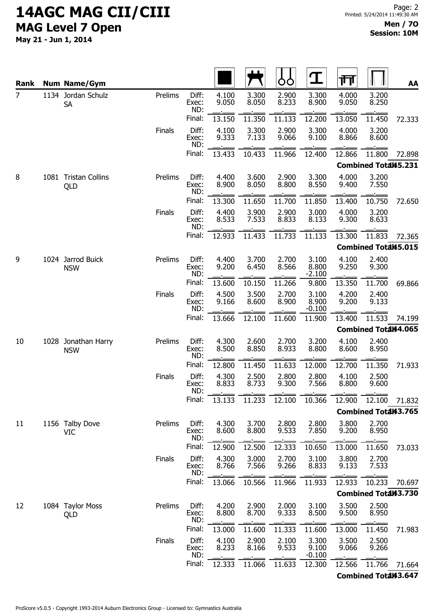| <b>Rank</b>    |      | <b>Num Name/Gym</b>             |               |                       |                |                | O              | $\mathbf T$                | गि             |                             | AA     |
|----------------|------|---------------------------------|---------------|-----------------------|----------------|----------------|----------------|----------------------------|----------------|-----------------------------|--------|
| $\overline{7}$ |      | 1134 Jordan Schulz<br><b>SA</b> | Prelims       | Diff:<br>Exec:<br>ND: | 4.100<br>9.050 | 3.300<br>8.050 | 2.900<br>8.233 | 3.300<br>8.900             | 4.000<br>9.050 | 3.200<br>8.250              |        |
|                |      |                                 |               | Final:                | 13.150         | 11.350         | 11.133         | 12.200                     | 13.050         | 11.450                      | 72.333 |
|                |      |                                 | <b>Finals</b> | Diff:<br>Exec:<br>ND: | 4.100<br>9.333 | 3.300<br>7.133 | 2.900<br>9.066 | 3.300<br>9.100             | 4.000<br>8.866 | 3.200<br>8.600              |        |
|                |      |                                 |               | Final:                | 13.433         | 10.433         | 11.966         | 12.400                     | 12.866         | 11.800                      | 72.898 |
|                |      |                                 |               |                       |                |                |                |                            |                | Combined Total45.231        |        |
| 8              |      | 1081 Tristan Collins<br>QLD     | Prelims       | Diff:<br>Exec:<br>ND: | 4.400<br>8.900 | 3.600<br>8.050 | 2.900<br>8.800 | 3.300<br>8.550             | 4.000<br>9.400 | 3.200<br>7.550              |        |
|                |      |                                 |               | Final:                | 13.300         | 11.650         | 11.700         | 11.850                     | 13.400         | 10.750                      | 72.650 |
|                |      |                                 | <b>Finals</b> | Diff:<br>Exec:<br>ND: | 4.400<br>8.533 | 3.900<br>7.533 | 2.900<br>8.833 | 3.000<br>8.133             | 4.000<br>9.300 | 3.200<br>8.633              |        |
|                |      |                                 |               | Final:                | 12.933         | 11.433         | 11.733         | 11.133                     | 13.300         | 11.833                      | 72.365 |
|                |      |                                 |               |                       |                |                |                |                            |                | <b>Combined Total45.015</b> |        |
| 9              |      | 1024 Jarrod Buick<br><b>NSW</b> | Prelims       | Diff:<br>Exec:<br>ND: | 4.400<br>9.200 | 3.700<br>6.450 | 2.700<br>8.566 | 3.100<br>8.800<br>$-2.100$ | 4.100<br>9.250 | 2.400<br>9.300              |        |
|                |      |                                 |               | Final:                | 13.600         | 10.150         | 11.266         | 9.800                      | 13.350         | 11.700                      | 69.866 |
|                |      |                                 | <b>Finals</b> | Diff:<br>Exec:<br>ND: | 4.500<br>9.166 | 3.500<br>8.600 | 2.700<br>8.900 | 3.100<br>8.900<br>$-0.100$ | 4.200<br>9.200 | 2.400<br>9.133              |        |
|                |      |                                 |               | Final:                | 13.666         | 12.100         | 11.600         | 11.900                     | 13.400         | 11.533                      | 74.199 |
|                |      |                                 |               |                       |                |                |                |                            |                | Combined Total44.065        |        |
| 10             | 1028 | Jonathan Harry<br><b>NSW</b>    | Prelims       | Diff:<br>Exec:<br>ND: | 4.300<br>8.500 | 2.600<br>8.850 | 2.700<br>8.933 | 3.200<br>8.800             | 4.100<br>8.600 | 2.400<br>8.950              |        |
|                |      |                                 |               | Final:                | 12.800         | 11.450         | 11.633         | 12.000                     | 12.700         | 11.350                      | 71.933 |
|                |      |                                 | <b>Finals</b> | Diff:<br>Exec:<br>ND: | 4.300<br>8.833 | 2.500<br>8.733 | 2.800<br>9.300 | 2.800<br>7.566             | 4.100<br>8.800 | 2.500<br>9.600              |        |
|                |      |                                 |               | Final:                | 13.133         | 11.233         | 12.100         | 10.366                     | 12.900         | 12.100                      | 71.832 |
|                |      |                                 |               |                       |                |                |                |                            |                | Combined Total43.765        |        |
| 11             |      | 1156 Talby Dove<br><b>VIC</b>   | Prelims       | Diff:<br>Exec:<br>ND: | 4.300<br>8.600 | 3.700<br>8.800 | 2.800<br>9.533 | 2.800<br>7.850             | 3.800<br>9.200 | 2.700<br>8.950              |        |
|                |      |                                 |               | Final:                | 12.900         | 12.500         | 12.333         | 10.650                     | 13.000         | 11.650                      | 73.033 |
|                |      |                                 | Finals        | Diff:<br>Exec:<br>ND: | 4.300<br>8.766 | 3.000<br>7.566 | 2.700<br>9.266 | 3.100<br>8.833             | 3.800<br>9.133 | 2.700<br>7.533              |        |
|                |      |                                 |               | Final:                | 13.066         | 10.566         | 11.966         | 11.933                     | 12.933         | 10.233                      | 70.697 |
|                |      |                                 |               |                       |                |                |                |                            |                | Combined Total43.730        |        |
| 12             |      | 1084 Taylor Moss<br>QLD         | Prelims       | Diff:<br>Exec:<br>ND: | 4.200<br>8.800 | 2.900<br>8.700 | 2.000<br>9.333 | 3.100<br>8.500             | 3.500<br>9.500 | 2.500<br>8.950              |        |
|                |      |                                 |               | Final:                | 13.000         | 11.600         | 11.333         | 11.600                     | 13.000         | 11.450                      | 71.983 |
|                |      |                                 | <b>Finals</b> | Diff:<br>Exec:<br>ND: | 4.100<br>8.233 | 2.900<br>8.166 | 2.100<br>9.533 | 3.300<br>9.100<br>$-0.100$ | 3.500<br>9.066 | 2.500<br>9.266              |        |
|                |      |                                 |               | Final:                | 12.333         | 11.066         | 11.633         | 12.300                     | 12.566         | 11.766                      | 71.664 |
|                |      |                                 |               |                       |                |                |                |                            |                | <b>Combined Total43.647</b> |        |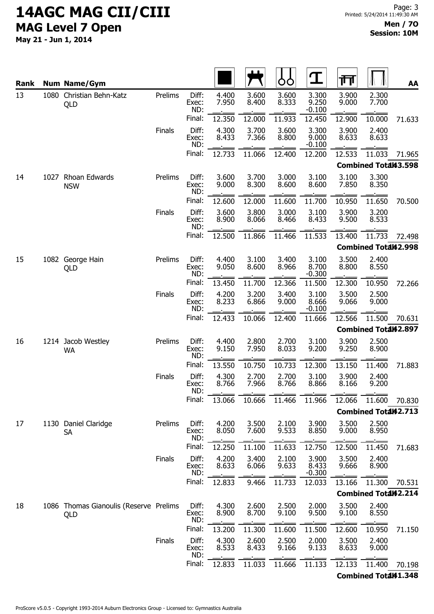| Rank |  | <b>Num Name/Gym</b>                           |               |                       |                |                | ŎŎ             | $\mathbf T$                | 帀              |                             | AA     |
|------|--|-----------------------------------------------|---------------|-----------------------|----------------|----------------|----------------|----------------------------|----------------|-----------------------------|--------|
| 13   |  | 1080 Christian Behn-Katz<br>QLD               | Prelims       | Diff:<br>Exec:<br>ND: | 4.400<br>7.950 | 3.600<br>8.400 | 3.600<br>8.333 | 3.300<br>9.250<br>$-0.100$ | 3.900<br>9.000 | 2.300<br>7.700              |        |
|      |  |                                               |               | Final:                | 12.350         | 12.000         | 11.933         | 12.450                     | 12.900         | 10.000                      | 71.633 |
|      |  |                                               | <b>Finals</b> | Diff:<br>Exec:<br>ND: | 4.300<br>8.433 | 3.700<br>7.366 | 3.600<br>8.800 | 3.300<br>9.000<br>$-0.100$ | 3.900<br>8.633 | 2.400<br>8.633              |        |
|      |  |                                               |               | Final:                | 12.733         | 11.066         | 12.400         | 12.200                     | 12.533         | 11.033                      | 71.965 |
|      |  |                                               |               |                       |                |                |                |                            |                | <b>Combined Total43.598</b> |        |
| 14   |  | 1027 Rhoan Edwards<br><b>NSW</b>              | Prelims       | Diff:<br>Exec:<br>ND: | 3.600<br>9.000 | 3.700<br>8.300 | 3.000<br>8.600 | 3.100<br>8.600             | 3.100<br>7.850 | 3.300<br>8.350              |        |
|      |  |                                               |               | Final:                | 12.600         | 12.000         | 11.600         | 11.700                     | 10.950         | 11.650                      | 70.500 |
|      |  |                                               | Finals        | Diff:<br>Exec:<br>ND: | 3.600<br>8.900 | 3.800<br>8.066 | 3.000<br>8.466 | 3.100<br>8.433             | 3.900<br>9.500 | 3.200<br>8.533              |        |
|      |  |                                               |               | Final:                | 12.500         | 11.866         | 11.466         | 11.533                     | 13.400         | 11.733                      | 72.498 |
|      |  |                                               |               |                       |                |                |                |                            |                | <b>Combined Total42.998</b> |        |
| 15   |  | 1082 George Hain<br>QLD                       | Prelims       | Diff:<br>Exec:<br>ND: | 4.400<br>9.050 | 3.100<br>8.600 | 3.400<br>8.966 | 3.100<br>8.700<br>$-0.300$ | 3.500<br>8.800 | 2.400<br>8.550              |        |
|      |  |                                               |               | Final:                | 13.450         | 11.700         | 12.366         | 11.500                     | 12.300         | 10.950                      | 72.266 |
|      |  |                                               | <b>Finals</b> | Diff:<br>Exec:<br>ND: | 4.200<br>8.233 | 3.200<br>6.866 | 3.400<br>9.000 | 3.100<br>8.666<br>$-0.100$ | 3.500<br>9.066 | 2.500<br>9.000              |        |
|      |  |                                               |               | Final:                | 12.433         | 10.066         | 12.400         | 11.666                     | 12.566         | 11.500                      | 70.631 |
|      |  |                                               |               |                       |                |                |                |                            |                | <b>Combined Total42.897</b> |        |
| 16   |  | 1214 Jacob Westley<br><b>WA</b>               | Prelims       | Diff:<br>Exec:<br>ND: | 4.400<br>9.150 | 2.800<br>7.950 | 2.700<br>8.033 | 3.100<br>9.200             | 3.900<br>9.250 | 2.500<br>8.900              |        |
|      |  |                                               | Finals        | Final:                | 13.550         | 10.750         | 10.733         | 12.300                     | 13.150         | 11.400                      | 71.883 |
|      |  |                                               |               | Diff:<br>Exec:<br>ND: | 4.300<br>8.766 | 2.700<br>7.966 | 2.700<br>8.766 | 3.100<br>8.866             | 3.900<br>8.166 | 2.400<br>9.200              |        |
|      |  |                                               |               | Final:                | 13.066         | 10.666         | 11.466         | 11.966                     | 12.066         | 11.600                      | 70.830 |
|      |  |                                               |               |                       |                |                |                |                            |                | Combined Total42.713        |        |
| 17   |  | 1130 Daniel Claridge<br><b>SA</b>             | Prelims       | Diff:<br>Exec:<br>ND: | 4.200<br>8.050 | 3.500<br>7.600 | 2.100<br>9.533 | 3.900<br>8.850             | 3.500<br>9.000 | 2.500<br>8.950              |        |
|      |  |                                               |               | Final:                | 12.250         | 11.100         | 11.633         | 12.750                     | 12.500         | 11.450                      | 71.683 |
|      |  |                                               | <b>Finals</b> | Diff:<br>Exec:<br>ND: | 4.200<br>8.633 | 3.400<br>6.066 | 2.100<br>9.633 | 3.900<br>8.433<br>$-0.300$ | 3.500<br>9.666 | 2.400<br>8.900              |        |
|      |  |                                               |               | Final:                | 12.833         | 9.466          | 11.733         | 12.033                     | 13.166         | 11.300                      | 70.531 |
|      |  |                                               |               |                       |                |                |                |                            |                | <b>Combined Total42.214</b> |        |
| 18   |  | 1086 Thomas Gianoulis (Reserve Prelims<br>QLD |               | Diff:<br>Exec:<br>ND: | 4.300<br>8.900 | 2.600<br>8.700 | 2.500<br>9.100 | 2.000<br>9.500             | 3.500<br>9.100 | 2.400<br>8.550              |        |
|      |  |                                               |               | Final:                | 13.200         | 11.300         | 11.600         | 11.500                     | 12.600         | 10.950                      | 71.150 |
|      |  |                                               | <b>Finals</b> | Diff:<br>Exec:<br>ND: | 4.300<br>8.533 | 2.600<br>8.433 | 2.500<br>9.166 | 2.000<br>9.133             | 3.500<br>8.633 | 2.400<br>9.000              |        |
|      |  |                                               |               | Final:                | 12.833         | 11.033         | 11.666         | 11.133                     | 12.133         | 11.400                      | 70.198 |
|      |  |                                               |               |                       |                |                |                |                            |                | Combined Total41.348        |        |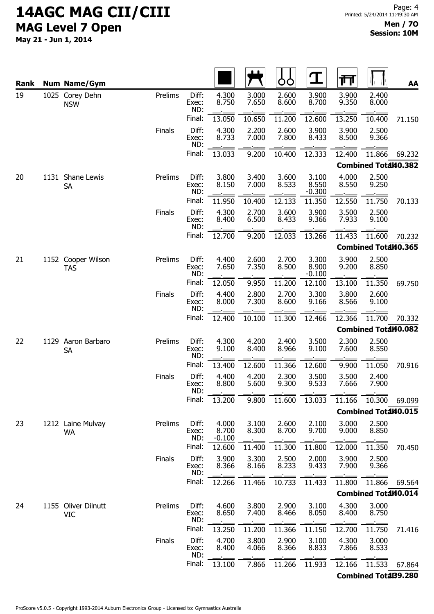| Rank | <b>Num Name/Gym</b>               |               |                       |                            |                | OO             | $\mathbf T$                | गा             |                             | AA     |
|------|-----------------------------------|---------------|-----------------------|----------------------------|----------------|----------------|----------------------------|----------------|-----------------------------|--------|
| 19   | 1025 Corey Dehn<br><b>NSW</b>     | Prelims       | Diff:<br>Exec:<br>ND: | 4.300<br>8.750             | 3.000<br>7.650 | 2.600<br>8.600 | 3.900<br>8.700             | 3.900<br>9.350 | 2.400<br>8.000              |        |
|      |                                   |               | Final:                | 13.050                     | 10.650         | 11.200         | 12.600                     | 13.250         | 10.400                      | 71.150 |
|      |                                   | Finals        | Diff:<br>Exec:<br>ND: | 4.300<br>8.733             | 2.200<br>7.000 | 2.600<br>7.800 | 3.900<br>8.433             | 3.900<br>8.500 | 2.500<br>9.366              |        |
|      |                                   |               | Final:                | 13.033                     | 9.200          | 10.400         | 12.333                     | 12.400         | 11.866                      | 69.232 |
|      |                                   |               |                       |                            |                |                |                            |                | <b>Combined Total40.382</b> |        |
| 20   | 1131 Shane Lewis<br><b>SA</b>     | Prelims       | Diff:<br>Exec:<br>ND: | 3.800<br>8.150             | 3.400<br>7.000 | 3.600<br>8.533 | 3.100<br>8.550<br>$-0.300$ | 4.000<br>8.550 | 2.500<br>9.250              |        |
|      |                                   |               | Final:                | 11.950                     | 10.400         | 12.133         | 11.350                     | 12.550         | 11.750                      | 70.133 |
|      |                                   | <b>Finals</b> | Diff:<br>Exec:<br>ND: | 4.300<br>8.400             | 2.700<br>6.500 | 3.600<br>8.433 | 3.900<br>9.366             | 3.500<br>7.933 | 2.500<br>9.100              |        |
|      |                                   |               | Final:                | 12.700                     | 9.200          | 12.033         | 13.266                     | 11.433         | 11.600                      | 70.232 |
|      |                                   |               |                       |                            |                |                |                            |                | Combined Total40.365        |        |
| 21   | 1152 Cooper Wilson<br><b>TAS</b>  | Prelims       | Diff:<br>Exec:<br>ND: | 4.400<br>7.650             | 2.600<br>7.350 | 2.700<br>8.500 | 3.300<br>8.900<br>$-0.100$ | 3.900<br>9.200 | 2.500<br>8.850              |        |
|      |                                   |               | Final:                | 12.050                     | 9.950          | 11.200         | 12.100                     | 13.100         | 11.350                      | 69.750 |
|      |                                   | Finals        | Diff:<br>Exec:<br>ND: | 4.400<br>8.000             | 2.800<br>7.300 | 2.700<br>8.600 | 3.300<br>9.166             | 3.800<br>8.566 | 2.600<br>9.100              |        |
|      |                                   |               | Final:                | 12.400                     | 10.100         | 11.300         | 12.466                     | 12.366         | 11.700                      | 70.332 |
|      |                                   |               |                       |                            |                |                |                            |                | Combined Total40.082        |        |
| 22   | 1129 Aaron Barbaro<br><b>SA</b>   | Prelims       | Diff:<br>Exec:<br>ND: | 4.300<br>9.100             | 4.200<br>8.400 | 2.400<br>8.966 | 3.500<br>9.100             | 2.300<br>7.600 | 2.500<br>8.550              |        |
|      |                                   |               | Final:                | 13.400                     | 12.600         | 11.366         | 12.600                     | 9.900          | 11.050                      | 70.916 |
|      |                                   | <b>Finals</b> | Diff:<br>Exec:<br>ND: | 4.400<br>8.800             | 4.200<br>5.600 | 2.300<br>9.300 | 3.500<br>9.533             | 3.500<br>7.666 | 2.400<br>7.900              |        |
|      |                                   |               | Final:                | 13.200                     | 9.800          | 11.600         | 13.033                     | 11.166         | 10.300                      | 69.099 |
|      |                                   |               |                       |                            |                |                |                            |                | <b>Combined Total40.015</b> |        |
| 23   | 1212 Laine Mulvay<br><b>WA</b>    | Prelims       | Diff:<br>Exec:<br>ND: | 4.000<br>8.700<br>$-0.100$ | 3.100<br>8.300 | 2.600<br>8.700 | 2.100<br>9.700             | 3.000<br>9.000 | 2.500<br>8.850              |        |
|      |                                   |               | Final:                | 12.600                     | 11.400         | 11.300         | 11.800                     | 12.000         | 11.350                      | 70.450 |
|      |                                   | Finals        | Diff:<br>Exec:<br>ND: | 3.900<br>8.366             | 3.300<br>8.166 | 2.500<br>8.233 | 2.000<br>9.433             | 3.900<br>7.900 | 2.500<br>9.366              |        |
|      |                                   |               | Final:                | 12.266                     | 11.466         | 10.733         | 11.433                     | 11.800         | 11.866                      | 69.564 |
|      |                                   |               |                       |                            |                |                |                            |                | Combined Total40.014        |        |
| 24   | 1155 Oliver Dilnutt<br><b>VIC</b> | Prelims       | Diff:<br>Exec:<br>ND: | 4.600<br>8.650             | 3.800<br>7.400 | 2.900<br>8.466 | 3.100<br>8.050             | 4.300<br>8.400 | 3.000<br>8.750              |        |
|      |                                   |               | Final:                | 13.250                     | 11.200         | 11.366         | 11.150                     | 12.700         | 11.750                      | 71.416 |
|      |                                   | <b>Finals</b> | Diff:<br>Exec:<br>ND: | 4.700<br>8.400             | 3.800<br>4.066 | 2.900<br>8.366 | 3.100<br>8.833             | 4.300<br>7.866 | 3.000<br>8.533              |        |
|      |                                   |               | Final:                | 13.100                     | 7.866          | 11.266         | 11.933                     | 12.166         | 11.533                      | 67.864 |
|      |                                   |               |                       |                            |                |                |                            |                | <b>Combined TotaB9.280</b>  |        |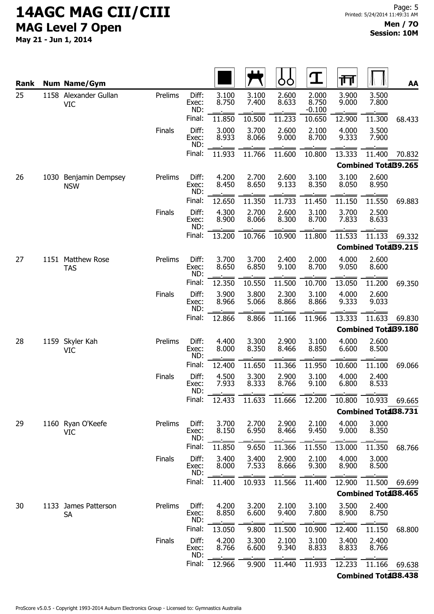| Rank |      | <b>Num Name/Gym</b>                 |               |                       |                |                | ŌŌ             | $\mathbf T$                | गि             |                            | AA     |
|------|------|-------------------------------------|---------------|-----------------------|----------------|----------------|----------------|----------------------------|----------------|----------------------------|--------|
| 25   |      | 1158 Alexander Gullan<br><b>VIC</b> | Prelims       | Diff:<br>Exec:<br>ND: | 3.100<br>8.750 | 3.100<br>7.400 | 2.600<br>8.633 | 2.000<br>8.750<br>$-0.100$ | 3.900<br>9.000 | 3.500<br>7.800             |        |
|      |      |                                     |               | Final:                | 11.850         | 10.500         | 11.233         | 10.650                     | 12.900         | 11.300                     | 68.433 |
|      |      |                                     | Finals        | Diff:<br>Exec:<br>ND: | 3.000<br>8.933 | 3.700<br>8.066 | 2.600<br>9.000 | 2.100<br>8.700             | 4.000<br>9.333 | 3.500<br>7.900             |        |
|      |      |                                     |               | Final:                | 11.933         | 11.766         | 11.600         | 10.800                     | 13.333         | 11.400                     | 70.832 |
|      |      |                                     |               |                       |                |                |                |                            |                | <b>Combined TotaB9.265</b> |        |
| 26   |      | 1030 Benjamin Dempsey<br><b>NSW</b> | Prelims       | Diff:<br>Exec:<br>ND: | 4.200<br>8.450 | 2.700<br>8.650 | 2.600<br>9.133 | 3.100<br>8.350             | 3.100<br>8.050 | 2.600<br>8.950             |        |
|      |      |                                     |               | Final:                | 12.650         | 11.350         | 11.733         | 11.450                     | 11.150         | 11.550                     | 69.883 |
|      |      |                                     | Finals        | Diff:<br>Exec:<br>ND: | 4.300<br>8.900 | 2.700<br>8.066 | 2.600<br>8.300 | 3.100<br>8.700             | 3.700<br>7.833 | 2.500<br>8.633             |        |
|      |      |                                     |               | Final:                | 13.200         | 10.766         | 10.900         | 11.800                     | 11.533         | 11.133                     | 69.332 |
|      |      |                                     |               |                       |                |                |                |                            |                | <b>Combined TotaB9.215</b> |        |
| 27   |      | 1151 Matthew Rose<br><b>TAS</b>     | Prelims       | Diff:<br>Exec:<br>ND: | 3.700<br>8.650 | 3.700<br>6.850 | 2.400<br>9.100 | 2.000<br>8.700             | 4.000<br>9.050 | 2.600<br>8.600             |        |
|      |      |                                     |               | Final:                | 12.350         | 10.550         | 11.500         | 10.700                     | 13.050         | 11.200                     | 69.350 |
|      |      |                                     | <b>Finals</b> | Diff:<br>Exec:<br>ND: | 3.900<br>8.966 | 3.800<br>5.066 | 2.300<br>8.866 | 3.100<br>8.866             | 4.000<br>9.333 | 2.600<br>9.033             |        |
|      |      |                                     |               | Final:                | 12.866         | 8.866          | 11.166         | 11.966                     | 13.333         | 11.633                     | 69.830 |
|      |      |                                     |               |                       |                |                |                |                            |                | <b>Combined TotaB9.180</b> |        |
| 28   | 1159 | Skyler Kah<br>VIC                   | Prelims       | Diff:<br>Exec:<br>ND: | 4.400<br>8.000 | 3.300<br>8.350 | 2.900<br>8.466 | 3.100<br>8.850             | 4.000<br>6.600 | 2.600<br>8.500             |        |
|      |      |                                     |               | Final:                | 12.400         | 11.650         | 11.366         | 11.950                     | 10.600         | 11.100                     | 69.066 |
|      |      |                                     | <b>Finals</b> | Diff:<br>Exec:<br>ND: | 4.500<br>7.933 | 3.300<br>8.333 | 2.900<br>8.766 | 3.100<br>9.100             | 4.000<br>6.800 | 2.400<br>8.533             |        |
|      |      |                                     |               | Final:                | 12.433         | 11.633         | 11.666         | 12.200                     | 10.800         | 10.933                     | 69.665 |
|      |      |                                     |               |                       |                |                |                |                            |                | <b>Combined TotaB8.731</b> |        |
| 29   |      | 1160 Ryan O'Keefe<br><b>VIC</b>     | Prelims       | Diff:<br>Exec:<br>ND: | 3.700<br>8.150 | 2.700<br>6.950 | 2.900<br>8.466 | 2.100<br>9.450             | 4.000<br>9.000 | 3.000<br>8.350             |        |
|      |      |                                     |               | Final:                | 11.850         | 9.650          | 11.366         | 11.550                     | 13.000         | 11.350                     | 68.766 |
|      |      |                                     | Finals        | Diff:<br>Exec:<br>ND: | 3.400<br>8.000 | 3.400<br>7.533 | 2.900<br>8.666 | 2.100<br>9.300             | 4.000<br>8.900 | 3.000<br>8.500             |        |
|      |      |                                     |               | Final:                | 11.400         | 10.933         | 11.566         | 11.400                     | 12.900         | 11.500                     | 69.699 |
|      |      |                                     |               |                       |                |                |                |                            |                | <b>Combined TotaB8.465</b> |        |
| 30   |      | 1133 James Patterson<br>SA          | Prelims       | Diff:<br>Exec:<br>ND: | 4.200<br>8.850 | 3.200<br>6.600 | 2.100<br>9.400 | 3.100<br>7.800             | 3.500<br>8.900 | 2.400<br>8.750             |        |
|      |      |                                     |               | Final:                | 13.050         | 9.800          | 11.500         | 10.900                     | 12.400         | 11.150                     | 68.800 |
|      |      |                                     | <b>Finals</b> | Diff:<br>Exec:<br>ND: | 4.200<br>8.766 | 3.300<br>6.600 | 2.100<br>9.340 | 3.100<br>8.833             | 3.400<br>8.833 | 2.400<br>8.766             |        |
|      |      |                                     |               | Final:                | 12.966         | 9.900          | 11.440         | 11.933                     | 12.233         | 11.166                     | 69.638 |
|      |      |                                     |               |                       |                |                |                |                            |                | <b>Combined TotaB8.438</b> |        |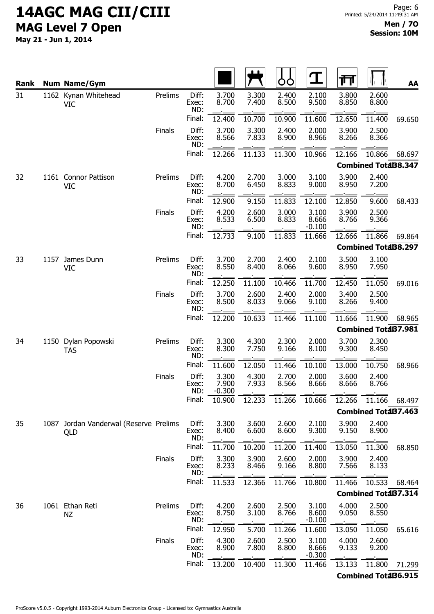| Rank |      | <b>Num Name/Gym</b>                      |               |                       |                            |                | Ò<br>O         | $\mathbf T$                | गा                                                     |                            | AA     |
|------|------|------------------------------------------|---------------|-----------------------|----------------------------|----------------|----------------|----------------------------|--------------------------------------------------------|----------------------------|--------|
| 31   |      | 1162 Kynan Whitehead<br><b>VIC</b>       | Prelims       | Diff:<br>Exec:<br>ND: | 3.700<br>8.700             | 3.300<br>7.400 | 2.400<br>8.500 | 2.100<br>9.500             | 3.800<br>8.850                                         | 2.600<br>8.800             |        |
|      |      |                                          |               | Final:                | 12.400                     | 10.700         | 10.900         | 11.600                     | 12.650                                                 | 11.400                     | 69.650 |
|      |      |                                          | Finals        | Diff:<br>Exec:<br>ND: | 3.700<br>8.566             | 3.300<br>7.833 | 2.400<br>8.900 | 2.000<br>8.966             | 3.900<br>8.266                                         | 2.500<br>8.366             |        |
|      |      |                                          |               | Final:                | 12.266                     | 11.133         | 11.300         | 10.966                     | 12.166                                                 | 10.866                     | 68.697 |
|      |      |                                          |               |                       |                            |                |                |                            |                                                        | <b>Combined TotaB8.347</b> |        |
| 32   |      | 1161 Connor Pattison<br>VIC              | Prelims       | Diff:<br>Exec:<br>ND: | 4.200<br>8.700             | 2.700<br>6.450 | 3.000<br>8.833 | 3.100<br>9.000             | 3.900<br>8.950                                         | 2.400<br>7.200             |        |
|      |      |                                          |               | Final:                | 12.900                     | 9.150          | 11.833         | 12.100                     | 12.850                                                 | 9.600                      | 68.433 |
|      |      |                                          | Finals        | Diff:<br>Exec:<br>ND: | 4.200<br>8.533             | 2.600<br>6.500 | 3.000<br>8.833 | 3.100<br>8.666<br>$-0.100$ | 3.900<br>8.766                                         | 2.500<br>9.366             |        |
|      |      |                                          |               | Final:                | 12.733                     | 9.100          | 11.833         | 11.666                     | 12.666                                                 | 11.866                     | 69.864 |
|      |      |                                          |               |                       |                            |                |                |                            |                                                        | <b>Combined TotaB8.297</b> |        |
| 33   |      | 1157 James Dunn<br><b>VIC</b>            | Prelims       | Diff:<br>Exec:<br>ND: | 3.700<br>8.550             | 2.700<br>8.400 | 2.400<br>8.066 | 2.100<br>9.600             | 3.500<br>8.950                                         | 3.100<br>7.950             |        |
|      |      |                                          |               | Final:                | 12.250                     | 11.100         | 10.466         | 11.700                     | 12.450                                                 | 11.050                     | 69.016 |
|      |      |                                          | Finals        | Diff:<br>Exec:<br>ND: | 3.700<br>8.500             | 2.600<br>8.033 | 2.400<br>9.066 | 2.000<br>9.100             | 3.400<br>8.266<br>11.666<br><b>Combined TotaB7.981</b> | 2.500<br>9.400             |        |
|      |      |                                          |               | Final:                | 12.200                     | 10.633         | 11.466         | 11.100                     |                                                        | 11.900                     | 68.965 |
|      |      |                                          |               |                       |                            |                |                |                            |                                                        |                            |        |
| 34   |      | 1150 Dylan Popowski<br><b>TAS</b>        | Prelims       | Diff:<br>Exec:<br>ND: | 3.300<br>8.300             | 4.300<br>7.750 | 2.300<br>9.166 | 2.000<br>8.100             | 3.700<br>9.300                                         | 2.300<br>8.450             |        |
|      |      |                                          |               | Final:                | 11.600                     | 12.050         | 11.466         | 10.100                     | 13.000                                                 | 10.750                     | 68.966 |
|      |      |                                          | <b>Finals</b> | Diff:<br>Exec:<br>ND: | 3.300<br>7.900<br>$-0.300$ | 4.300<br>7.933 | 2.700<br>8.566 | 2.000<br>8.666             | 3.600<br>8.666                                         | 2.400<br>8.766             |        |
|      |      |                                          |               | Final:                | 10.900                     | 12.233         | 11.266         | 10.666                     | 12.266                                                 | 11.166                     | 68.497 |
|      |      |                                          |               |                       |                            |                |                |                            |                                                        | Combined Total37.463       |        |
| 35   | 1087 | Jordan Vanderwal (Reserve Prelims<br>QLD |               | Diff:<br>Exec:<br>ND: | 3.300<br>8.400             | 3.600<br>6.600 | 2.600<br>8.600 | 2.100<br>9.300             | 3.900<br>9.150                                         | 2.400<br>8.900             |        |
|      |      |                                          |               | Final:                | 11.700                     | 10.200         | 11.200         | 11.400                     | 13.050                                                 | 11.300                     | 68.850 |
|      |      |                                          | Finals        | Diff:<br>Exec:<br>ND: | 3.300<br>8.233             | 3.900<br>8.466 | 2.600<br>9.166 | 2.000<br>8.800             | 3.900<br>7.566                                         | 2.400<br>8.133             |        |
|      |      |                                          |               | Final:                | 11.533                     | 12.366         | 11.766         | 10.800                     | 11.466                                                 | 10.533                     | 68.464 |
|      |      |                                          |               |                       |                            |                |                |                            |                                                        | <b>Combined TotaB7.314</b> |        |
| 36   |      | 1061 Ethan Reti<br>ΝZ                    | Prelims       | Diff:<br>Exec:<br>ND: | 4.200<br>8.750             | 2.600<br>3.100 | 2.500<br>8.766 | 3.100<br>8.600<br>$-0.100$ | 4.000<br>9.050                                         | 2.500<br>8.550             |        |
|      |      |                                          |               | Final:                | 12.950                     | 5.700          | 11.266         | 11.600                     | 13.050                                                 | 11.050                     | 65.616 |
|      |      |                                          | <b>Finals</b> | Diff:<br>Exec:<br>ND: | 4.300<br>8.900             | 2.600<br>7.800 | 2.500<br>8.800 | 3.100<br>8.666<br>$-0.300$ | 4.000<br>9.133                                         | 2.600<br>9.200             |        |
|      |      |                                          |               | Final:                | 13.200                     | 10.400         | 11.300         | 11.466                     | 13.133                                                 | 11.800                     | 71.299 |
|      |      |                                          |               |                       |                            |                |                |                            |                                                        | <b>Combined TotaB6.915</b> |        |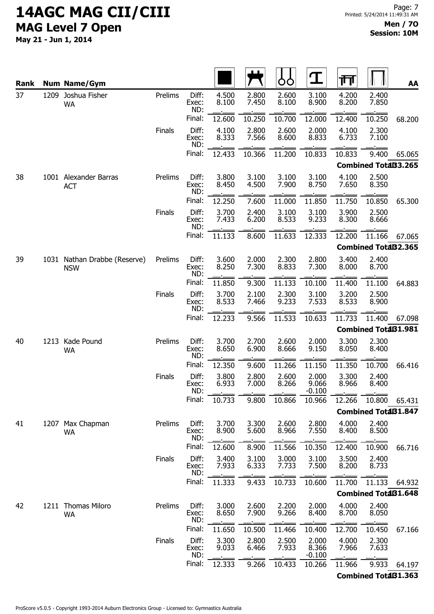| Rank |      | <b>Num Name/Gym</b>                        |               |                       |                |                | Ò              | $\mathbf T$                | गि             |                            | AA     |
|------|------|--------------------------------------------|---------------|-----------------------|----------------|----------------|----------------|----------------------------|----------------|----------------------------|--------|
| 37   |      | 1209 Joshua Fisher<br><b>WA</b>            | Prelims       | Diff:<br>Exec:<br>ND: | 4.500<br>8.100 | 2.800<br>7.450 | 2.600<br>8.100 | 3.100<br>8.900             | 4.200<br>8.200 | 2.400<br>7.850             |        |
|      |      |                                            |               | Final:                | 12.600         | 10.250         | 10.700         | 12.000                     | 12.400         | 10.250                     | 68.200 |
|      |      |                                            | Finals        | Diff:<br>Exec:<br>ND: | 4.100<br>8.333 | 2.800<br>7.566 | 2.600<br>8.600 | 2.000<br>8.833             | 4.100<br>6.733 | 2.300<br>7.100             |        |
|      |      |                                            |               | Final:                | 12.433         | 10.366         | 11.200         | 10.833                     | 10.833         | 9.400                      | 65.065 |
|      |      |                                            |               |                       |                |                |                |                            |                | <b>Combined TotaB3.265</b> |        |
| 38   |      | 1001 Alexander Barras<br><b>ACT</b>        | Prelims       | Diff:<br>Exec:<br>ND: | 3.800<br>8.450 | 3.100<br>4.500 | 3.100<br>7.900 | 3.100<br>8.750             | 4.100<br>7.650 | 2.500<br>8.350             |        |
|      |      |                                            |               | Final:                | 12.250         | 7.600          | 11.000         | 11.850                     | 11.750         | 10.850                     | 65.300 |
|      |      |                                            | Finals        | Diff:<br>Exec:<br>ND: | 3.700<br>7.433 | 2.400<br>6.200 | 3.100<br>8.533 | 3.100<br>9.233             | 3.900<br>8.300 | 2.500<br>8.666             |        |
|      |      |                                            |               | Final:                | 11.133         | 8.600          | 11.633         | 12.333                     | 12.200         | 11.166                     | 67.065 |
|      |      |                                            |               |                       |                |                |                |                            |                | <b>Combined TotaB2.365</b> |        |
| 39   |      | 1031 Nathan Drabbe (Reserve)<br><b>NSW</b> | Prelims       | Diff:<br>Exec:<br>ND: | 3.600<br>8.250 | 2.000<br>7.300 | 2.300<br>8.833 | 2.800<br>7.300             | 3.400<br>8.000 | 2.400<br>8.700             |        |
|      |      |                                            |               | Final:                | 11.850         | 9.300          | 11.133         | 10.100                     | 11.400         | 11.100                     | 64.883 |
|      |      |                                            | Finals        | Diff:<br>Exec:<br>ND: | 3.700<br>8.533 | 2.100<br>7.466 | 2.300<br>9.233 | 3.100<br>7.533             | 3.200<br>8.533 | 2.500<br>8.900             |        |
|      |      |                                            |               | Final:                | 12.233         | 9.566          | 11.533         | 10.633                     | 11.733         | 11.400                     | 67.098 |
|      |      |                                            |               |                       |                |                |                |                            |                | <b>Combined TotaB1.981</b> |        |
| 40   | 1213 | Kade Pound<br>WA                           | Prelims       | Diff:<br>Exec:<br>ND: | 3.700<br>8.650 | 2.700<br>6.900 | 2.600<br>8.666 | 2.000<br>9.150             | 3.300<br>8.050 | 2.300<br>8.400             |        |
|      |      |                                            |               | Final:                | 12.350         | 9.600          | 11.266         | 11.150                     | 11.350         | 10.700                     | 66.416 |
|      |      |                                            | <b>Finals</b> | Diff:<br>Exec:<br>ND: | 3.800<br>6.933 | 2.800<br>7.000 | 2.600<br>8.266 | 2.000<br>9.066<br>$-0.100$ | 3.300<br>8.966 | 2.400<br>8.400             |        |
|      |      |                                            |               | Final:                | 10.733         | 9.800          | 10.866         | 10.966                     | 12.266         | 10.800                     | 65.431 |
|      |      |                                            |               |                       |                |                |                |                            |                | <b>Combined TotaB1.847</b> |        |
| 41   |      | 1207 Max Chapman<br><b>WA</b>              | Prelims       | Diff:<br>Exec:<br>ND: | 3.700<br>8.900 | 3.300<br>5.600 | 2.600<br>8.966 | 2.800<br>7.550             | 4.000<br>8.400 | 2.400<br>8.500             |        |
|      |      |                                            |               | Final:                | 12.600         | 8.900          | 11.566         | 10.350                     | 12.400         | 10.900                     | 66.716 |
|      |      |                                            | Finals        | Diff:<br>Exec:<br>ND: | 3.400<br>7.933 | 3.100<br>6.333 | 3.000<br>7.733 | 3.100<br>7.500             | 3.500<br>8.200 | 2.400<br>8.733             |        |
|      |      |                                            |               | Final:                | 11.333         | 9.433          | 10.733         | 10.600                     | 11.700         | 11.133                     | 64.932 |
|      |      |                                            |               |                       |                |                |                |                            |                | <b>Combined TotaB1.648</b> |        |
| 42   |      | 1211 Thomas Miloro<br><b>WA</b>            | Prelims       | Diff:<br>Exec:<br>ND: | 3.000<br>8.650 | 2.600<br>7.900 | 2.200<br>9.266 | 2.000<br>8.400             | 4.000<br>8.700 | 2.400<br>8.050             |        |
|      |      |                                            |               | Final:                | 11.650         | 10.500         | 11.466         | 10.400                     | 12.700         | 10.450                     | 67.166 |
|      |      |                                            | <b>Finals</b> | Diff:<br>Exec:<br>ND: | 3.300<br>9.033 | 2.800<br>6.466 | 2.500<br>7.933 | 2.000<br>8.366<br>$-0.100$ | 4.000<br>7.966 | 2.300<br>7.633             |        |
|      |      |                                            |               | Final:                | 12.333         | 9.266          | 10.433         | 10.266                     | 11.966         | 9.933                      | 64.197 |
|      |      |                                            |               |                       |                |                |                |                            |                | <b>Combined TotaB1.363</b> |        |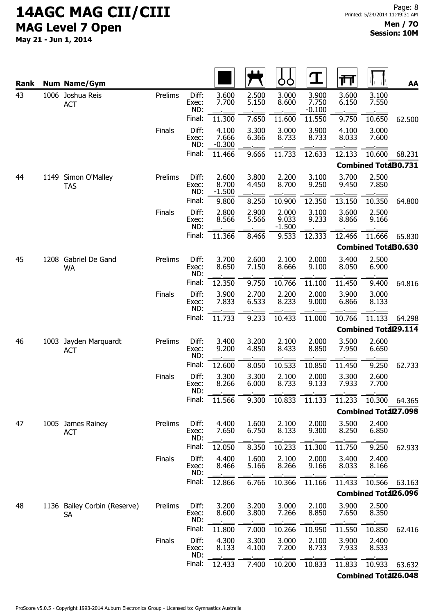| Rank |      | <b>Num Name/Gym</b>                |         |                       |                            |                | OO                         | $\mathbf T$                | 帀                                                         |                             | AA     |
|------|------|------------------------------------|---------|-----------------------|----------------------------|----------------|----------------------------|----------------------------|-----------------------------------------------------------|-----------------------------|--------|
| 43   |      | 1006 Joshua Reis<br><b>ACT</b>     | Prelims | Diff:<br>Exec:<br>ND: | 3.600<br>7.700             | 2.500<br>5.150 | 3.000<br>8.600             | 3.900<br>7.750<br>$-0.100$ | 3.600<br>6.150                                            | 3.100<br>7.550              |        |
|      |      |                                    |         | Final:                | 11.300                     | 7.650          | 11.600                     | 11.550                     | 9.750                                                     | 10.650                      | 62.500 |
|      |      |                                    | Finals  | Diff:<br>Exec:<br>ND: | 4.100<br>7.666<br>$-0.300$ | 3.300<br>6.366 | 3.000<br>8.733             | 3.900<br>8.733             | 4.100<br>8.033                                            | 3.000<br>7.600              |        |
|      |      |                                    |         | Final:                | 11.466                     | 9.666          | 11.733                     | 12.633                     | 12.133                                                    | 10.600                      | 68.231 |
|      |      |                                    |         |                       |                            |                |                            |                            |                                                           | <b>Combined TotaB0.731</b>  |        |
| 44   | 1149 | Simon O'Malley<br><b>TAS</b>       | Prelims | Diff:<br>Exec:<br>ND: | 2.600<br>8.700<br>$-1.500$ | 3.800<br>4.450 | 2.200<br>8.700             | 3.100<br>9.250             | 3.700<br>9.450                                            | 2.500<br>7.850              |        |
|      |      |                                    |         | Final:                | 9.800                      | 8.250          | 10.900                     | 12.350                     | 13.150                                                    | 10.350                      | 64.800 |
|      |      |                                    | Finals  | Diff:<br>Exec:<br>ND: | 2.800<br>8.566             | 2.900<br>5.566 | 2.000<br>9.033<br>$-1.500$ | 3.100<br>9.233             | 3.600<br>8.866                                            | 2.500<br>9.166              |        |
|      |      |                                    |         | Final:                | 11.366                     | 8.466          | 9.533                      | 12.333                     | 12.466                                                    | 11.666                      | 65.830 |
|      |      |                                    |         |                       |                            |                |                            |                            |                                                           | <b>Combined TotaB0.630</b>  |        |
| 45   |      | 1208 Gabriel De Gand<br><b>WA</b>  | Prelims | Diff:<br>Exec:<br>ND: | 3.700<br>8.650             | 2.600<br>7.150 | 2.100<br>8.666             | 2.000<br>9.100             | 3.400<br>8.050                                            | 2.500<br>6.900              |        |
|      |      |                                    |         | Final:                | 12.350                     | 9.750          | 10.766                     | 11.100                     | 11.450                                                    | 9.400                       | 64.816 |
|      |      |                                    | Finals  | Diff:<br>Exec:<br>ND: | 3.900<br>7.833             | 2.700<br>6.533 | 2.200<br>8.233             | 2.000<br>9.000             | 3.900<br>6.866<br>10.766<br>Combined Total29.114<br>3.500 | 3.000<br>8.133              |        |
|      |      |                                    |         | Final:                | 11.733                     | 9.233          | 10.433                     | 11.000                     |                                                           | 11.133                      | 64.298 |
|      |      |                                    |         |                       |                            |                |                            |                            |                                                           |                             |        |
| 46   | 1003 | Jayden Marquardt<br><b>ACT</b>     | Prelims | Diff:<br>Exec:<br>ND: | 3.400<br>9.200             | 3.200<br>4.850 | 2.100<br>8.433             | 2.000<br>8.850             | 7.950                                                     | 2.600<br>6.650              |        |
|      |      |                                    |         | Final:                | 12.600                     | 8.050          | 10.533                     | 10.850                     | 11.450                                                    | 9.250                       | 62.733 |
|      |      |                                    | Finals  | Diff:<br>Exec:<br>ND: | 3.300<br>8.266             | 3.300<br>6.000 | 2.100<br>8.733             | 2.000<br>9.133             | 3.300<br>7.933                                            | 2.600<br>7.700              |        |
|      |      |                                    |         | Final:                | 11.566                     | 9.300          | 10.833                     | 11.133                     | 11.233                                                    | 10.300                      | 64.365 |
|      |      |                                    |         |                       |                            |                |                            |                            |                                                           | <b>Combined Total27.098</b> |        |
| 47   |      | 1005 James Rainey<br><b>ACT</b>    | Prelims | Diff:<br>Exec:<br>ND: | 4.400<br>7.650             | 1.600<br>6.750 | 2.100<br>8.133             | 2.000<br>9.300             | 3.500<br>8.250                                            | 2.400<br>6.850              |        |
|      |      |                                    |         | Final:                | 12.050                     | 8.350          | 10.233                     | 11.300                     | 11.750                                                    | 9.250                       | 62.933 |
|      |      |                                    | Finals  | Diff:<br>Exec:<br>ND: | 4.400<br>8.466             | 1.600<br>5.166 | 2.100<br>8.266             | 2.000<br>9.166             | 3.400<br>8.033                                            | 2.400<br>8.166              |        |
|      |      |                                    |         | Final:                | 12.866                     | 6.766          | 10.366                     | 11.166                     | 11.433                                                    | 10.566                      | 63.163 |
|      |      |                                    |         |                       |                            |                |                            |                            |                                                           | Combined Total26.096        |        |
| 48   |      | 1136 Bailey Corbin (Reserve)<br>SA | Prelims | Diff:<br>Exec:<br>ND: | 3.200<br>8.600             | 3.200<br>3.800 | 3.000<br>7.266             | 2.100<br>8.850             | 3.900<br>7.650                                            | 2.500<br>8.350              |        |
|      |      |                                    |         | Final:                | 11.800                     | 7.000          | 10.266                     | 10.950                     | 11.550                                                    | 10.850                      | 62.416 |
|      |      |                                    | Finals  | Diff:<br>Exec:<br>ND: | 4.300<br>8.133             | 3.300<br>4.100 | 3.000<br>7.200             | 2.100<br>8.733             | 3.900<br>7.933                                            | 2.400<br>8.533              |        |
|      |      |                                    |         | Final:                | 12.433                     | 7.400          | 10.200                     | 10.833                     | 11.833                                                    | 10.933                      | 63.632 |
|      |      |                                    |         |                       |                            |                |                            |                            |                                                           | <b>Combined Total26.048</b> |        |